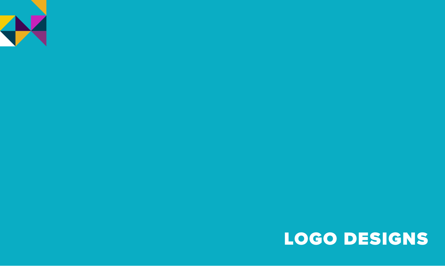# LOGO DESIGNS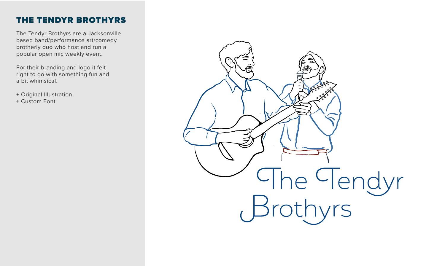## THE TENDYR BROTHYRS

The Tendyr Brothyrs are a Jacksonville based band/performance art/comedy brotherly duo who host and run a popular open mic weekly event.

For their branding and logo it felt right to go with something fun and a bit whimsical.

+ Original Illustration

+ Custom Font

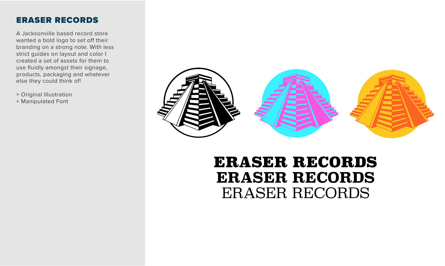#### ERASER RECORDS

A Jacksonville based record store wanted a bold logo to set off their branding on a strong note. With less strict guides on layout and color I created a set of assets for them to use fluidly amongst their signage, products, packaging and whatever else they could think of!

+ Original Illustration + Manipulated Font



# ERASER RECORDS **ERASER RECORDS** ERASER RECORDS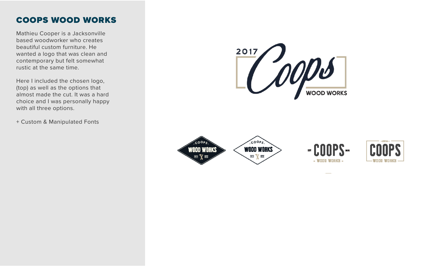### COOPS WOOD WORKS

Mathieu Cooper is a Jacksonville based woodworker who creates beautiful custom furniture. He wanted a logo that was clean and contemporary but felt somewhat rustic at the same time.

Here I included the chosen logo, (top) as well as the options that almost made the cut. It was a hard choice and I was personally happy with all three options.

+ Custom & Manipulated Fonts